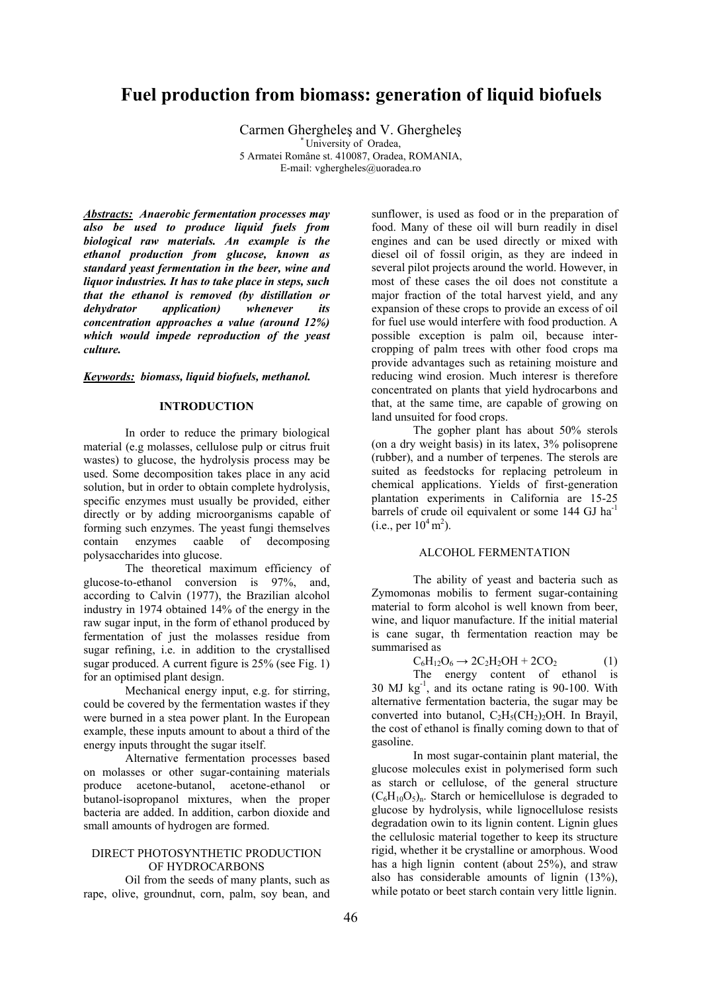# **Fuel production from biomass: generation of liquid biofuels**

Carmen Ghergheleş and V. Gherghele<sup>ş</sup> \* University of Oradea, 5 Armatei Române st. 410087, Oradea, ROMANIA, E-mail: vghergheles@uoradea.ro

*Abstracts: Anaerobic fermentation processes may also be used to produce liquid fuels from biological raw materials. An example is the ethanol production from glucose, known as standard yeast fermentation in the beer, wine and liquor industries. It has to take place in steps, such that the ethanol is removed (by distillation or dehydrator application) whenever its concentration approaches a value (around 12%) which would impede reproduction of the yeast culture.* 

#### *Keywords: biomass, liquid biofuels, methanol.*

# **INTRODUCTION**

 In order to reduce the primary biological material (e.g molasses, cellulose pulp or citrus fruit wastes) to glucose, the hydrolysis process may be used. Some decomposition takes place in any acid solution, but in order to obtain complete hydrolysis, specific enzymes must usually be provided, either directly or by adding microorganisms capable of forming such enzymes. The yeast fungi themselves contain enzymes caable of decomposing polysaccharides into glucose.

 The theoretical maximum efficiency of glucose-to-ethanol conversion is 97%, and, according to Calvin (1977), the Brazilian alcohol industry in 1974 obtained 14% of the energy in the raw sugar input, in the form of ethanol produced by fermentation of just the molasses residue from sugar refining, i.e. in addition to the crystallised sugar produced. A current figure is 25% (see Fig. 1) for an optimised plant design.

 Mechanical energy input, e.g. for stirring, could be covered by the fermentation wastes if they were burned in a stea power plant. In the European example, these inputs amount to about a third of the energy inputs throught the sugar itself.

 Alternative fermentation processes based on molasses or other sugar-containing materials produce acetone-butanol, acetone-ethanol or butanol-isopropanol mixtures, when the proper bacteria are added. In addition, carbon dioxide and small amounts of hydrogen are formed.

# DIRECT PHOTOSYNTHETIC PRODUCTION OF HYDROCARBONS

 Oil from the seeds of many plants, such as rape, olive, groundnut, corn, palm, soy bean, and

sunflower, is used as food or in the preparation of food. Many of these oil will burn readily in disel engines and can be used directly or mixed with diesel oil of fossil origin, as they are indeed in several pilot projects around the world. However, in most of these cases the oil does not constitute a major fraction of the total harvest yield, and any expansion of these crops to provide an excess of oil for fuel use would interfere with food production. A possible exception is palm oil, because intercropping of palm trees with other food crops ma provide advantages such as retaining moisture and reducing wind erosion. Much interesr is therefore concentrated on plants that yield hydrocarbons and that, at the same time, are capable of growing on land unsuited for food crops.

 The gopher plant has about 50% sterols (on a dry weight basis) in its latex, 3% polisoprene (rubber), and a number of terpenes. The sterols are suited as feedstocks for replacing petroleum in chemical applications. Yields of first-generation plantation experiments in California are 15-25 barrels of crude oil equivalent or some 144 GJ ha<sup>-1</sup> (i.e., per  $10^4 \text{ m}^2$ ).

### ALCOHOL FERMENTATION

 The ability of yeast and bacteria such as Zymomonas mobilis to ferment sugar-containing material to form alcohol is well known from beer, wine, and liquor manufacture. If the initial material is cane sugar, th fermentation reaction may be summarised as

$$
C_6H_{12}O_6 \rightarrow 2C_2H_2OH + 2CO_2 \tag{1}
$$

 The energy content of ethanol is  $30$  MJ  $\text{kg}^{-1}$ , and its octane rating is 90-100. With alternative fermentation bacteria, the sugar may be converted into butanol,  $C_2H_5(CH_2)_2OH$ . In Brayil, the cost of ethanol is finally coming down to that of gasoline.

 In most sugar-containin plant material, the glucose molecules exist in polymerised form such as starch or cellulose, of the general structure  $(C_6H_{10}O_5)$ <sub>n</sub>. Starch or hemicellulose is degraded to glucose by hydrolysis, while lignocellulose resists degradation owin to its lignin content. Lignin glues the cellulosic material together to keep its structure rigid, whether it be crystalline or amorphous. Wood has a high lignin content (about 25%), and straw also has considerable amounts of lignin (13%), while potato or beet starch contain very little lignin.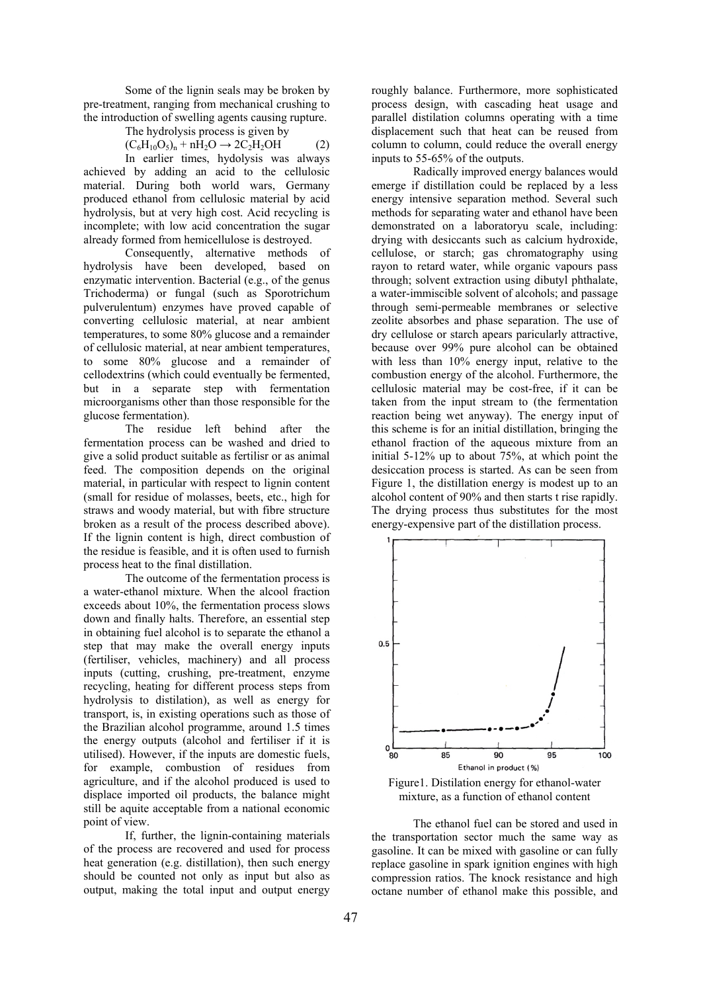Some of the lignin seals may be broken by pre-treatment, ranging from mechanical crushing to the introduction of swelling agents causing rupture.

The hydrolysis process is given by

 $(C_6H_{10}O_5)_n + nH_2O \rightarrow 2C_2H_2OH$  (2) In earlier times, hydolysis was always achieved by adding an acid to the cellulosic material. During both world wars, Germany produced ethanol from cellulosic material by acid hydrolysis, but at very high cost. Acid recycling is incomplete; with low acid concentration the sugar already formed from hemicellulose is destroyed.

 Consequently, alternative methods of hydrolysis have been developed, based on enzymatic intervention. Bacterial (e.g., of the genus Trichoderma) or fungal (such as Sporotrichum pulverulentum) enzymes have proved capable of converting cellulosic material, at near ambient temperatures, to some 80% glucose and a remainder of cellulosic material, at near ambient temperatures, to some 80% glucose and a remainder of cellodextrins (which could eventually be fermented, but in a separate step with fermentation microorganisms other than those responsible for the glucose fermentation).

 The residue left behind after the fermentation process can be washed and dried to give a solid product suitable as fertilisr or as animal feed. The composition depends on the original material, in particular with respect to lignin content (small for residue of molasses, beets, etc., high for straws and woody material, but with fibre structure broken as a result of the process described above). If the lignin content is high, direct combustion of the residue is feasible, and it is often used to furnish process heat to the final distillation.

 The outcome of the fermentation process is a water-ethanol mixture. When the alcool fraction exceeds about 10%, the fermentation process slows down and finally halts. Therefore, an essential step in obtaining fuel alcohol is to separate the ethanol a step that may make the overall energy inputs (fertiliser, vehicles, machinery) and all process inputs (cutting, crushing, pre-treatment, enzyme recycling, heating for different process steps from hydrolysis to distilation), as well as energy for transport, is, in existing operations such as those of the Brazilian alcohol programme, around 1.5 times the energy outputs (alcohol and fertiliser if it is utilised). However, if the inputs are domestic fuels, for example, combustion of residues from agriculture, and if the alcohol produced is used to displace imported oil products, the balance might still be aquite acceptable from a national economic point of view.

 If, further, the lignin-containing materials of the process are recovered and used for process heat generation (e.g. distillation), then such energy should be counted not only as input but also as output, making the total input and output energy

roughly balance. Furthermore, more sophisticated process design, with cascading heat usage and parallel distilation columns operating with a time displacement such that heat can be reused from column to column, could reduce the overall energy inputs to 55-65% of the outputs.

 Radically improved energy balances would emerge if distillation could be replaced by a less energy intensive separation method. Several such methods for separating water and ethanol have been demonstrated on a laboratoryu scale, including: drying with desiccants such as calcium hydroxide, cellulose, or starch; gas chromatography using rayon to retard water, while organic vapours pass through; solvent extraction using dibutyl phthalate, a water-immiscible solvent of alcohols; and passage through semi-permeable membranes or selective zeolite absorbes and phase separation. The use of dry cellulose or starch apears paricularly attractive, because over 99% pure alcohol can be obtained with less than 10% energy input, relative to the combustion energy of the alcohol. Furthermore, the cellulosic material may be cost-free, if it can be taken from the input stream to (the fermentation reaction being wet anyway). The energy input of this scheme is for an initial distillation, bringing the ethanol fraction of the aqueous mixture from an initial 5-12% up to about 75%, at which point the desiccation process is started. As can be seen from Figure 1, the distillation energy is modest up to an alcohol content of 90% and then starts t rise rapidly. The drying process thus substitutes for the most energy-expensive part of the distillation process.



Figure1. Distilation energy for ethanol-water mixture, as a function of ethanol content

 The ethanol fuel can be stored and used in the transportation sector much the same way as gasoline. It can be mixed with gasoline or can fully replace gasoline in spark ignition engines with high compression ratios. The knock resistance and high octane number of ethanol make this possible, and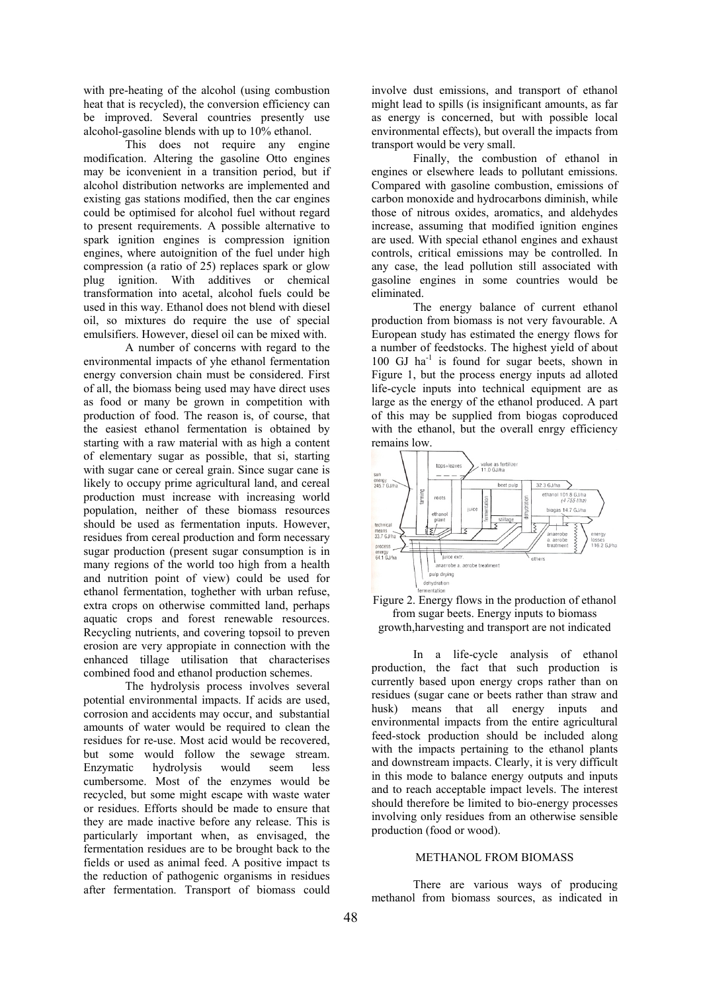with pre-heating of the alcohol (using combustion heat that is recycled), the conversion efficiency can be improved. Several countries presently use alcohol-gasoline blends with up to 10% ethanol.

 This does not require any engine modification. Altering the gasoline Otto engines may be iconvenient in a transition period, but if alcohol distribution networks are implemented and existing gas stations modified, then the car engines could be optimised for alcohol fuel without regard to present requirements. A possible alternative to spark ignition engines is compression ignition engines, where autoignition of the fuel under high compression (a ratio of 25) replaces spark or glow plug ignition. With additives or chemical transformation into acetal, alcohol fuels could be used in this way. Ethanol does not blend with diesel oil, so mixtures do require the use of special emulsifiers. However, diesel oil can be mixed with.

 A number of concerns with regard to the environmental impacts of yhe ethanol fermentation energy conversion chain must be considered. First of all, the biomass being used may have direct uses as food or many be grown in competition with production of food. The reason is, of course, that the easiest ethanol fermentation is obtained by starting with a raw material with as high a content of elementary sugar as possible, that si, starting with sugar cane or cereal grain. Since sugar cane is likely to occupy prime agricultural land, and cereal production must increase with increasing world population, neither of these biomass resources should be used as fermentation inputs. However, residues from cereal production and form necessary sugar production (present sugar consumption is in many regions of the world too high from a health and nutrition point of view) could be used for ethanol fermentation, toghether with urban refuse, extra crops on otherwise committed land, perhaps aquatic crops and forest renewable resources. Recycling nutrients, and covering topsoil to preven erosion are very appropiate in connection with the enhanced tillage utilisation that characterises combined food and ethanol production schemes.

 The hydrolysis process involves several potential environmental impacts. If acids are used, corrosion and accidents may occur, and substantial amounts of water would be required to clean the residues for re-use. Most acid would be recovered, but some would follow the sewage stream. Enzymatic hydrolysis would seem less cumbersome. Most of the enzymes would be recycled, but some might escape with waste water or residues. Efforts should be made to ensure that they are made inactive before any release. This is particularly important when, as envisaged, the fermentation residues are to be brought back to the fields or used as animal feed. A positive impact ts the reduction of pathogenic organisms in residues after fermentation. Transport of biomass could

involve dust emissions, and transport of ethanol might lead to spills (is insignificant amounts, as far as energy is concerned, but with possible local environmental effects), but overall the impacts from transport would be very small.

 Finally, the combustion of ethanol in engines or elsewhere leads to pollutant emissions. Compared with gasoline combustion, emissions of carbon monoxide and hydrocarbons diminish, while those of nitrous oxides, aromatics, and aldehydes increase, assuming that modified ignition engines are used. With special ethanol engines and exhaust controls, critical emissions may be controlled. In any case, the lead pollution still associated with gasoline engines in some countries would be eliminated.

 The energy balance of current ethanol production from biomass is not very favourable. A European study has estimated the energy flows for a number of feedstocks. The highest yield of about 100 GJ ha<sup>-1</sup> is found for sugar beets, shown in Figure 1, but the process energy inputs ad alloted life-cycle inputs into technical equipment are as large as the energy of the ethanol produced. A part of this may be supplied from biogas coproduced with the ethanol, but the overall enrgy efficiency remains low.





 In a life-cycle analysis of ethanol production, the fact that such production is currently based upon energy crops rather than on residues (sugar cane or beets rather than straw and husk) means that all energy inputs and environmental impacts from the entire agricultural feed-stock production should be included along with the impacts pertaining to the ethanol plants and downstream impacts. Clearly, it is very difficult in this mode to balance energy outputs and inputs and to reach acceptable impact levels. The interest should therefore be limited to bio-energy processes involving only residues from an otherwise sensible production (food or wood).

# METHANOL FROM BIOMASS

 There are various ways of producing methanol from biomass sources, as indicated in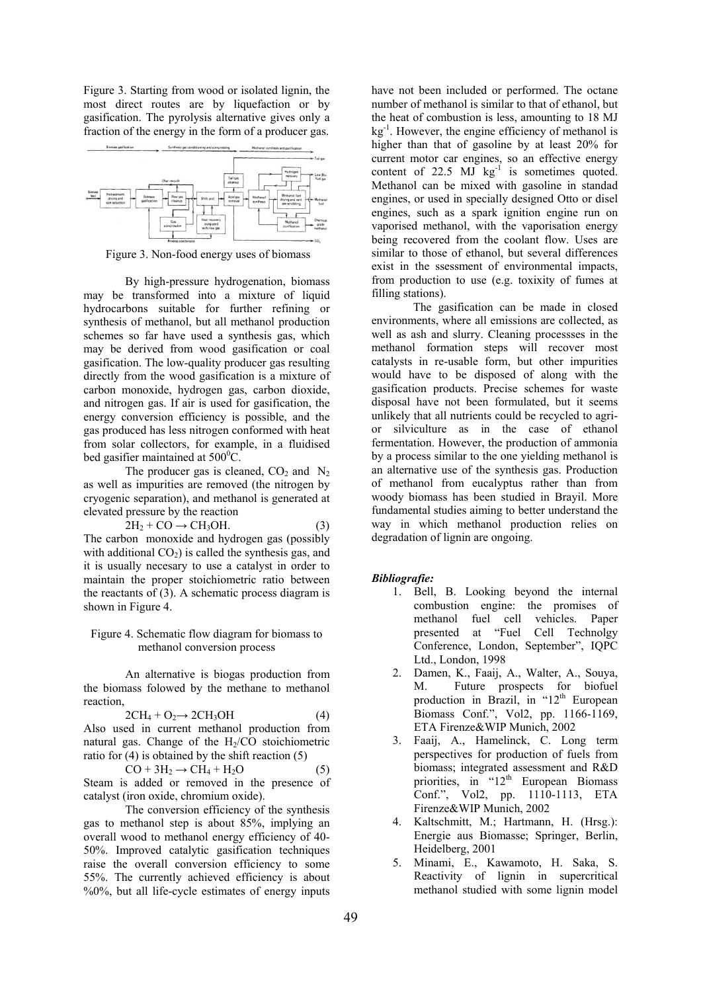Figure 3. Starting from wood or isolated lignin, the most direct routes are by liquefaction or by gasification. The pyrolysis alternative gives only a fraction of the energy in the form of a producer gas.



Figure 3. Non-food energy uses of biomass

 By high-pressure hydrogenation, biomass may be transformed into a mixture of liquid hydrocarbons suitable for further refining or synthesis of methanol, but all methanol production schemes so far have used a synthesis gas, which may be derived from wood gasification or coal gasification. The low-quality producer gas resulting directly from the wood gasification is a mixture of carbon monoxide, hydrogen gas, carbon dioxide, and nitrogen gas. If air is used for gasification, the energy conversion efficiency is possible, and the gas produced has less nitrogen conformed with heat from solar collectors, for example, in a fluidised bed gasifier maintained at  $500^{\circ}$ C.

The producer gas is cleaned,  $CO<sub>2</sub>$  and  $N<sub>2</sub>$ as well as impurities are removed (the nitrogen by cryogenic separation), and methanol is generated at elevated pressure by the reaction

$$
2H_2 + CO \rightarrow CH_3OH.
$$
 (3)

The carbon monoxide and hydrogen gas (possibly with additional  $CO<sub>2</sub>$ ) is called the synthesis gas, and it is usually necesary to use a catalyst in order to maintain the proper stoichiometric ratio between the reactants of (3). A schematic process diagram is shown in Figure 4.

#### Figure 4. Schematic flow diagram for biomass to methanol conversion process

 An alternative is biogas production from the biomass folowed by the methane to methanol reaction,

$$
2CH_4 + O_2 \rightarrow 2CH_3OH \tag{4}
$$

Also used in current methanol production from natural gas. Change of the  $H<sub>2</sub>/CO$  stoichiometric ratio for (4) is obtained by the shift reaction (5)

$$
CO + 3H2 \rightarrow CH4 + H2O
$$
 (5)  
Steam is added or removed in the presence of  
catalyst (iron oxide, chromium oxide).

The conversion efficiency of the synthesis gas to methanol step is about 85%, implying an overall wood to methanol energy efficiency of 40- 50%. Improved catalytic gasification techniques raise the overall conversion efficiency to some 55%. The currently achieved efficiency is about %0%, but all life-cycle estimates of energy inputs have not been included or performed. The octane number of methanol is similar to that of ethanol, but the heat of combustion is less, amounting to 18 MJ  $kg<sup>-1</sup>$ . However, the engine efficiency of methanol is higher than that of gasoline by at least 20% for current motor car engines, so an effective energy content of  $22.5$  MJ  $kg^{-1}$  is sometimes quoted. Methanol can be mixed with gasoline in standad engines, or used in specially designed Otto or disel engines, such as a spark ignition engine run on vaporised methanol, with the vaporisation energy being recovered from the coolant flow. Uses are similar to those of ethanol, but several differences exist in the ssessment of environmental impacts, from production to use (e.g. toxixity of fumes at filling stations).

 The gasification can be made in closed environments, where all emissions are collected, as well as ash and slurry. Cleaning processses in the methanol formation steps will recover most catalysts in re-usable form, but other impurities would have to be disposed of along with the gasification products. Precise schemes for waste disposal have not been formulated, but it seems unlikely that all nutrients could be recycled to agrior silviculture as in the case of ethanol fermentation. However, the production of ammonia by a process similar to the one yielding methanol is an alternative use of the synthesis gas. Production of methanol from eucalyptus rather than from woody biomass has been studied in Brayil. More fundamental studies aiming to better understand the way in which methanol production relies on degradation of lignin are ongoing.

### *Bibliografie:*

- 1. Bell, B. Looking beyond the internal combustion engine: the promises of methanol fuel cell vehicles. Paper presented at "Fuel Cell Technolgy Conference, London, September", IQPC Ltd., London, 1998
- 2. Damen, K., Faaij, A., Walter, A., Souya, M. Future prospects for biofuel production in Brazil, in " $12<sup>th</sup>$  European Biomass Conf.", Vol2, pp. 1166-1169, ETA Firenze&WIP Munich, 2002
- 3. Faaij, A., Hamelinck, C. Long term perspectives for production of fuels from biomass; integrated assessment and R&D priorities, in "12<sup>th</sup> European Biomass Conf.", Vol2, pp. 1110-1113, ETA Firenze&WIP Munich, 2002
- 4. Kaltschmitt, M.; Hartmann, H. (Hrsg.): Energie aus Biomasse; Springer, Berlin, Heidelberg, 2001
- 5. Minami, E., Kawamoto, H. Saka, S. Reactivity of lignin in supercritical methanol studied with some lignin model